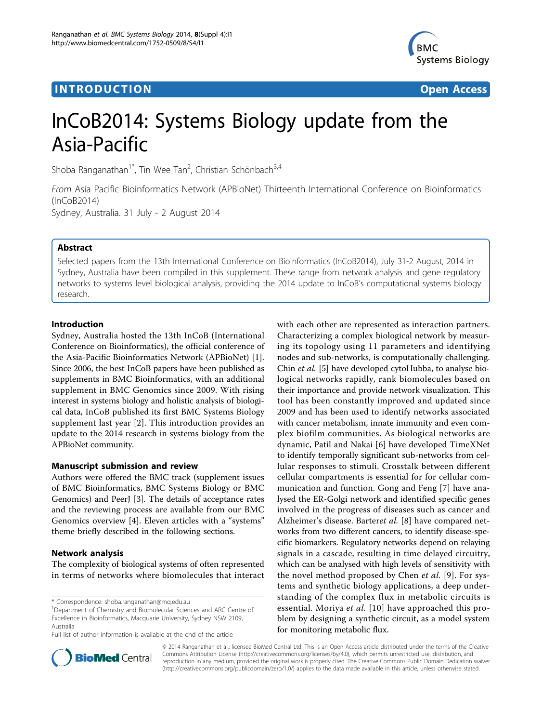## **INTRODUCTION CONSUMING THE CONSUMING TEACHER CONSUMING THE CONSUMING TEACHER CONSUMING THE CONSUMING TEACHER CONSUMING THE CONSUMING TEACHER CONSUMING THE CONSUMING THE CONSUMING THE CONSUMING THE CONSUMING THE CONSUMIN**



# InCoB2014: Systems Biology update from the Asia-Pacific

Shoba Ranganathan<sup>1\*</sup>, Tin Wee Tan<sup>2</sup>, Christian Schönbach<sup>3,4</sup>

From Asia Pacific Bioinformatics Network (APBioNet) Thirteenth International Conference on Bioinformatics (InCoB2014) Sydney, Australia. 31 July - 2 August 2014

Abstract

Selected papers from the 13th International Conference on Bioinformatics (InCoB2014), July 31-2 August, 2014 in Sydney, Australia have been compiled in this supplement. These range from network analysis and gene regulatory networks to systems level biological analysis, providing the 2014 update to InCoB's computational systems biology research.

## Introduction

Sydney, Australia hosted the 13th InCoB (International Conference on Bioinformatics), the official conference of the Asia-Pacific Bioinformatics Network (APBioNet) [\[1](#page-1-0)]. Since 2006, the best InCoB papers have been published as supplements in BMC Bioinformatics, with an additional supplement in BMC Genomics since 2009. With rising interest in systems biology and holistic analysis of biological data, InCoB published its first BMC Systems Biology supplement last year [\[2](#page-1-0)]. This introduction provides an update to the 2014 research in systems biology from the APBioNet community.

## Manuscript submission and review

Authors were offered the BMC track (supplement issues of BMC Bioinformatics, BMC Systems Biology or BMC Genomics) and PeerJ [[3\]](#page-1-0). The details of acceptance rates and the reviewing process are available from our BMC Genomics overview [[4\]](#page-1-0). Eleven articles with a "systems" theme briefly described in the following sections.

## Network analysis

The complexity of biological systems of often represented in terms of networks where biomolecules that interact

\* Correspondence: [shoba.ranganathan@mq.edu.au](mailto:shoba.ranganathan@mq.edu.au)

Full list of author information is available at the end of the article





© 2014 Ranganathan et al.; licensee BioMed Central Ltd. This is an Open Access article distributed under the terms of the Creative Commons Attribution License [\(http://creativecommons.org/licenses/by/4.0](http://creativecommons.org/licenses/by/4.0)), which permits unrestricted use, distribution, and reproduction in any medium, provided the original work is properly cited. The Creative Commons Public Domain Dedication waiver [\(http://creativecommons.org/publicdomain/zero/1.0/](http://creativecommons.org/publicdomain/zero/1.0/)) applies to the data made available in this article, unless otherwise stated.

<sup>&</sup>lt;sup>1</sup>Department of Chemistry and Biomolecular Sciences and ARC Centre of Excellence in Bioinformatics, Macquarie University, Sydney NSW 2109, Australia